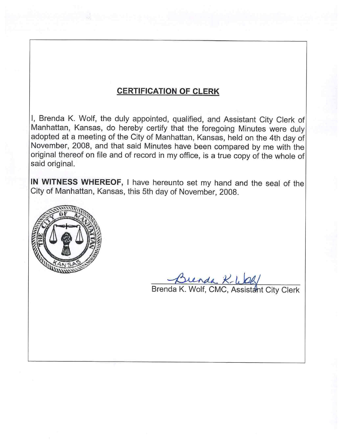## **CERTIFICATION OF CLERK**

I, Brenda K. Wolf, the duly appointed, qualified, and Assistant City Clerk of Manhattan, Kansas, do hereby certify that the foregoing Minutes were duly adopted at a meeting of the City of Manhattan, Kansas, held on the 4th day of November, 2008, and that said Minutes have been compared by me with the original thereof on file and of record in my office, is a true copy of the whole of said original.

IN WITNESS WHEREOF, I have hereunto set my hand and the seal of the City of Manhattan, Kansas, this 5th day of November, 2008.



Brenda K-WOG/<br>Brenda K. Wolf, CMC, Assistant City Clerk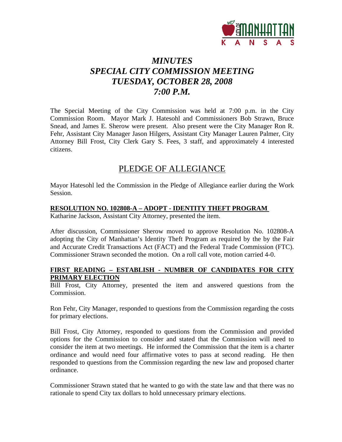

# *MINUTES SPECIAL CITY COMMISSION MEETING TUESDAY, OCTOBER 28, 2008 7:00 P.M.*

The Special Meeting of the City Commission was held at 7:00 p.m. in the City Commission Room. Mayor Mark J. Hatesohl and Commissioners Bob Strawn, Bruce Snead, and James E. Sherow were present. Also present were the City Manager Ron R. Fehr, Assistant City Manager Jason Hilgers, Assistant City Manager Lauren Palmer, City Attorney Bill Frost, City Clerk Gary S. Fees, 3 staff, and approximately 4 interested citizens.

## PLEDGE OF ALLEGIANCE

Mayor Hatesohl led the Commission in the Pledge of Allegiance earlier during the Work Session.

### **RESOLUTION NO. 102808-A – ADOPT - IDENTITY THEFT PROGRAM**

Katharine Jackson, Assistant City Attorney, presented the item.

After discussion, Commissioner Sherow moved to approve Resolution No. 102808-A adopting the City of Manhattan's Identity Theft Program as required by the by the Fair and Accurate Credit Transactions Act (FACT) and the Federal Trade Commission (FTC). Commissioner Strawn seconded the motion. On a roll call vote, motion carried 4-0.

### **FIRST READING – ESTABLISH - NUMBER OF CANDIDATES FOR CITY PRIMARY ELECTION**

Bill Frost, City Attorney, presented the item and answered questions from the Commission.

Ron Fehr, City Manager, responded to questions from the Commission regarding the costs for primary elections.

Bill Frost, City Attorney, responded to questions from the Commission and provided options for the Commission to consider and stated that the Commission will need to consider the item at two meetings. He informed the Commission that the item is a charter ordinance and would need four affirmative votes to pass at second reading. He then responded to questions from the Commission regarding the new law and proposed charter ordinance.

Commissioner Strawn stated that he wanted to go with the state law and that there was no rationale to spend City tax dollars to hold unnecessary primary elections.